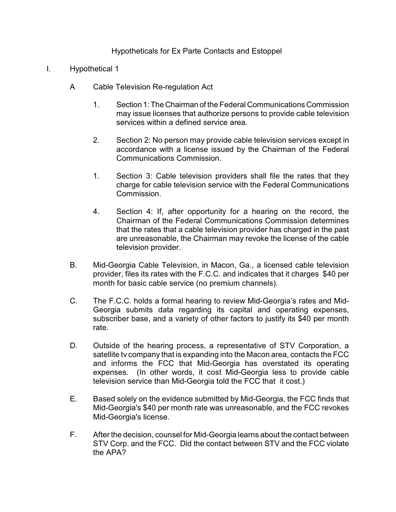## Hypotheticals for Ex Parte Contacts and Estoppel

- I. Hypothetical 1
	- A Cable Television Re-regulation Act
		- 1. Section 1:The Chairman of the Federal Communications Commission may issue licenses that authorize persons to provide cable television services within a defined service area.
		- 2. Section 2: No person may provide cable television services except in accordance with a license issued by the Chairman of the Federal Communications Commission.
		- 1. Section 3: Cable television providers shall file the rates that they charge for cable television service with the Federal Communications Commission.
		- 4. Section 4: If, after opportunity for a hearing on the record, the Chairman of the Federal Communications Commission determines that the rates that a cable television provider has charged in the past are unreasonable, the Chairman may revoke the license of the cable television provider.
	- B. Mid-Georgia Cable Television, in Macon, Ga., a licensed cable television provider, files its rates with the F.C.C. and indicates that it charges \$40 per month for basic cable service (no premium channels).
	- C. The F.C.C. holds a formal hearing to review Mid-Georgia's rates and Mid-Georgia submits data regarding its capital and operating expenses, subscriber base, and a variety of other factors to justify its \$40 per month rate.
	- D. Outside of the hearing process, a representative of STV Corporation, a satellite tv company that is expanding into the Macon area, contacts the FCC and informs the FCC that Mid-Georgia has overstated its operating expenses. (In other words, it cost Mid-Georgia less to provide cable television service than Mid-Georgia told the FCC that it cost.)
	- E. Based solely on the evidence submitted by Mid-Georgia, the FCC finds that Mid-Georgia's \$40 per month rate was unreasonable, and the FCC revokes Mid-Georgia's license.
	- F. After the decision, counsel for Mid-Georgia learns about the contact between STV Corp. and the FCC. Did the contact between STV and the FCC violate the APA?